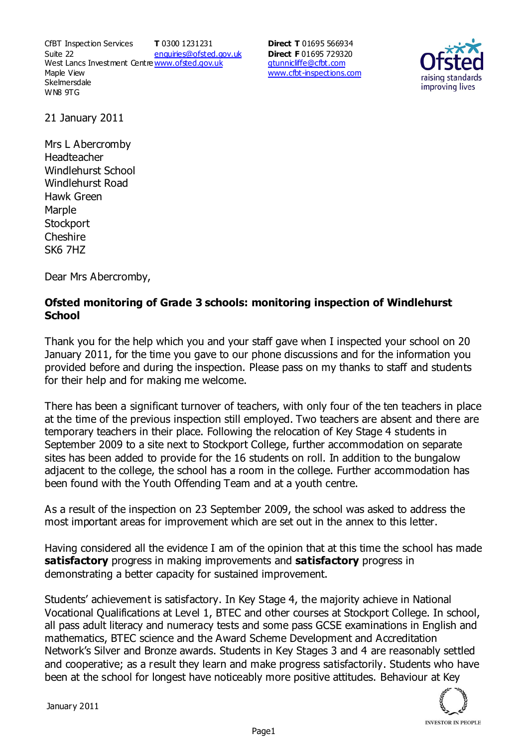CfBT Inspection Services Suite 22 West Lancs Investment Centre<u>www.ofsted.gov.uk</u> Maple View **Skelmersdale** WN8 9TG **T** 0300 1231231 enquiries@ofsted.gov.uk

**Direct T** 01695 566934 **Direct F** 01695 729320 gtunnicliffe@cfbt.com www.cfbt-inspections.com



21 January 2011

Mrs L Abercromby Headteacher Windlehurst School Windlehurst Road Hawk Green Marple **Stockport** Cheshire SK6 7HZ

Dear Mrs Abercromby,

## **Ofsted monitoring of Grade 3 schools: monitoring inspection of Windlehurst School**

Thank you for the help which you and your staff gave when I inspected your school on 20 January 2011, for the time you gave to our phone discussions and for the information you provided before and during the inspection. Please pass on my thanks to staff and students for their help and for making me welcome.

There has been a significant turnover of teachers, with only four of the ten teachers in place at the time of the previous inspection still employed. Two teachers are absent and there are temporary teachers in their place. Following the relocation of Key Stage 4 students in September 2009 to a site next to Stockport College, further accommodation on separate sites has been added to provide for the 16 students on roll. In addition to the bungalow adjacent to the college, the school has a room in the college. Further accommodation has been found with the Youth Offending Team and at a youth centre.

As a result of the inspection on 23 September 2009, the school was asked to address the most important areas for improvement which are set out in the annex to this letter.

Having considered all the evidence I am of the opinion that at this time the school has made **satisfactory** progress in making improvements and **satisfactory** progress in demonstrating a better capacity for sustained improvement.

Students' achievement is satisfactory. In Key Stage 4, the majority achieve in National Vocational Qualifications at Level 1, BTEC and other courses at Stockport College. In school, all pass adult literacy and numeracy tests and some pass GCSE examinations in English and mathematics, BTEC science and the Award Scheme Development and Accreditation Network's Silver and Bronze awards. Students in Key Stages 3 and 4 are reasonably settled and cooperative; as a result they learn and make progress satisfactorily. Students who have been at the school for longest have noticeably more positive attitudes. Behaviour at Key

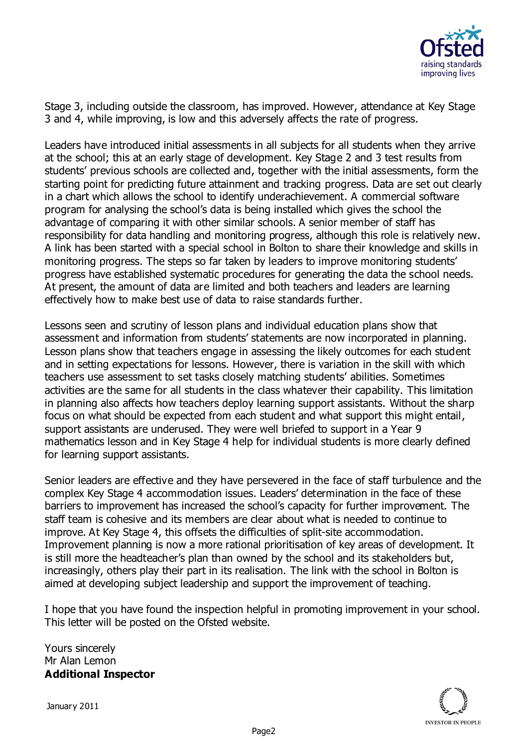

Stage 3, including outside the classroom, has improved. However, attendance at Key Stage 3 and 4, while improving, is low and this adversely affects the rate of progress.

Leaders have introduced initial assessments in all subjects for all students when they arrive at the school; this at an early stage of development. Key Stage 2 and 3 test results from students' previous schools are collected and, together with the initial assessments, form the starting point for predicting future attainment and tracking progress. Data are set out clearly in a chart which allows the school to identify underachievement. A commercial software program for analysing the school's data is being installed which gives the school the advantage of comparing it with other similar schools. A senior member of staff has responsibility for data handling and monitoring progress, although this role is relatively new. A link has been started with a special school in Bolton to share their knowledge and skills in monitoring progress. The steps so far taken by leaders to improve monitoring students' progress have established systematic procedures for generating the data the school needs. At present, the amount of data are limited and both teachers and leaders are learning effectively how to make best use of data to raise standards further.

Lessons seen and scrutiny of lesson plans and individual education plans show that assessment and information from students' statements are now incorporated in planning. Lesson plans show that teachers engage in assessing the likely outcomes for each student and in setting expectations for lessons. However, there is variation in the skill with which teachers use assessment to set tasks closely matching students' abilities. Sometimes activities are the same for all students in the class whatever their capability. This limitation in planning also affects how teachers deploy learning support assistants. Without the sharp focus on what should be expected from each student and what support this might entail, support assistants are underused. They were well briefed to support in a Year 9 mathematics lesson and in Key Stage 4 help for individual students is more clearly defined for learning support assistants.

Senior leaders are effective and they have persevered in the face of staff turbulence and the complex Key Stage 4 accommodation issues. Leaders' determination in the face of these barriers to improvement has increased the school's capacity for further improvement. The staff team is cohesive and its members are clear about what is needed to continue to improve. At Key Stage 4, this offsets the difficulties of split-site accommodation. Improvement planning is now a more rational prioritisation of key areas of development. It is still more the headteacher's plan than owned by the school and its stakeholders but, increasingly, others play their part in its realisation. The link with the school in Bolton is aimed at developing subject leadership and support the improvement of teaching.

I hope that you have found the inspection helpful in promoting improvement in your school. This letter will be posted on the Ofsted website.

Yours sincerely Mr Alan Lemon **Additional Inspector**